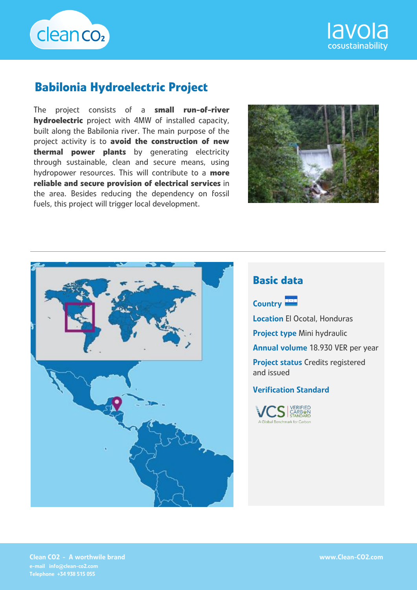



# **Babilonia Hydroelectric Project**

The project consists of a **small run-of-river hydroelectric** project with 4MW of installed capacity, built along the Babilonia river. The main purpose of the project activity is to **avoid the construction of new thermal power plants** by generating electricity through sustainable, clean and secure means, using hydropower resources. This will contribute to a **more reliable and secure provision of electrical services** in the area. Besides reducing the dependency on fossil fuels, this project will trigger local development.





# **Basic data**



Location El Ocotal, Honduras Project type Mini hydraulic Annual volume 18.930 VER per year Project status Credits registered and issued

#### Verification Standard



Clean CO2 - A worthwile brand e-mail info@clean-co2.com Telephone +34 938 515 055